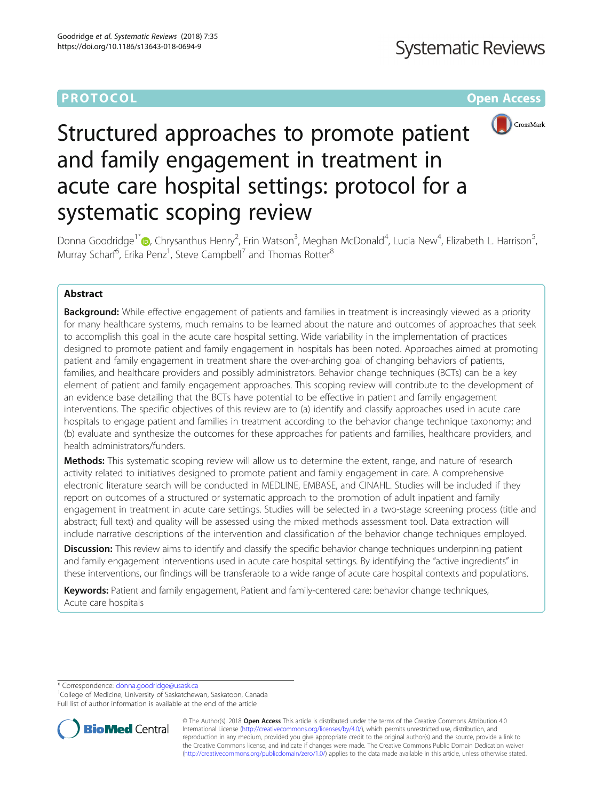## **PROTOCOL CONSUMING THE CONSUMING TEACHER CONSUMING THE CONSUMING TEACHER CONSUMING THE CONSUMING TEACHER CONSUMING**



# Structured approaches to promote patient and family engagement in treatment in acute care hospital settings: protocol for a systematic scoping review

Donna Goodridge<sup>1[\\*](http://orcid.org/0000-0002-8680-8646)</sup>®, Chrysanthus Henry<sup>2</sup>, Erin Watson<sup>3</sup>, Meghan McDonald<sup>4</sup>, Lucia New<sup>4</sup>, Elizabeth L. Harrison<sup>5</sup> , Murray Scharf<sup>6</sup>, Erika Penz<sup>1</sup>, Steve Campbell<sup>7</sup> and Thomas Rotter<sup>8</sup>

## Abstract

Background: While effective engagement of patients and families in treatment is increasingly viewed as a priority for many healthcare systems, much remains to be learned about the nature and outcomes of approaches that seek to accomplish this goal in the acute care hospital setting. Wide variability in the implementation of practices designed to promote patient and family engagement in hospitals has been noted. Approaches aimed at promoting patient and family engagement in treatment share the over-arching goal of changing behaviors of patients, families, and healthcare providers and possibly administrators. Behavior change techniques (BCTs) can be a key element of patient and family engagement approaches. This scoping review will contribute to the development of an evidence base detailing that the BCTs have potential to be effective in patient and family engagement interventions. The specific objectives of this review are to (a) identify and classify approaches used in acute care hospitals to engage patient and families in treatment according to the behavior change technique taxonomy; and (b) evaluate and synthesize the outcomes for these approaches for patients and families, healthcare providers, and health administrators/funders.

**Methods:** This systematic scoping review will allow us to determine the extent, range, and nature of research activity related to initiatives designed to promote patient and family engagement in care. A comprehensive electronic literature search will be conducted in MEDLINE, EMBASE, and CINAHL. Studies will be included if they report on outcomes of a structured or systematic approach to the promotion of adult inpatient and family engagement in treatment in acute care settings. Studies will be selected in a two-stage screening process (title and abstract; full text) and quality will be assessed using the mixed methods assessment tool. Data extraction will include narrative descriptions of the intervention and classification of the behavior change techniques employed.

Discussion: This review aims to identify and classify the specific behavior change techniques underpinning patient and family engagement interventions used in acute care hospital settings. By identifying the "active ingredients" in these interventions, our findings will be transferable to a wide range of acute care hospital contexts and populations.

Keywords: Patient and family engagement, Patient and family-centered care: behavior change techniques, Acute care hospitals

\* Correspondence: [donna.goodridge@usask.ca](mailto:donna.goodridge@usask.ca) <sup>1</sup>

<sup>1</sup> College of Medicine, University of Saskatchewan, Saskatoon, Canada Full list of author information is available at the end of the article



© The Author(s). 2018 Open Access This article is distributed under the terms of the Creative Commons Attribution 4.0 International License [\(http://creativecommons.org/licenses/by/4.0/](http://creativecommons.org/licenses/by/4.0/)), which permits unrestricted use, distribution, and reproduction in any medium, provided you give appropriate credit to the original author(s) and the source, provide a link to the Creative Commons license, and indicate if changes were made. The Creative Commons Public Domain Dedication waiver [\(http://creativecommons.org/publicdomain/zero/1.0/](http://creativecommons.org/publicdomain/zero/1.0/)) applies to the data made available in this article, unless otherwise stated.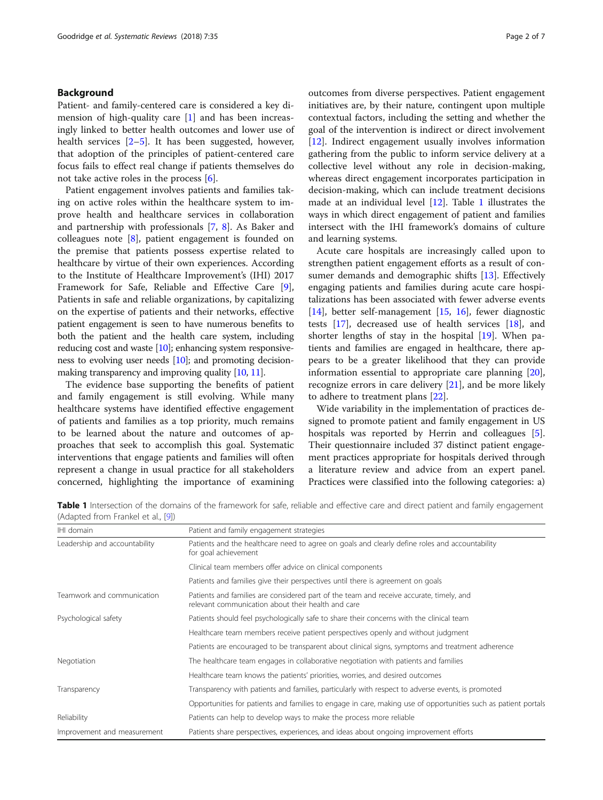## Background

Patient- and family-centered care is considered a key dimension of high-quality care [\[1](#page-5-0)] and has been increasingly linked to better health outcomes and lower use of health services [\[2](#page-5-0)–[5\]](#page-5-0). It has been suggested, however, that adoption of the principles of patient-centered care focus fails to effect real change if patients themselves do not take active roles in the process [\[6](#page-5-0)].

Patient engagement involves patients and families taking on active roles within the healthcare system to improve health and healthcare services in collaboration and partnership with professionals [\[7](#page-5-0), [8](#page-5-0)]. As Baker and colleagues note [[8\]](#page-5-0), patient engagement is founded on the premise that patients possess expertise related to healthcare by virtue of their own experiences. According to the Institute of Healthcare Improvement's (IHI) 2017 Framework for Safe, Reliable and Effective Care [\[9](#page-5-0)], Patients in safe and reliable organizations, by capitalizing on the expertise of patients and their networks, effective patient engagement is seen to have numerous benefits to both the patient and the health care system, including reducing cost and waste [\[10\]](#page-5-0); enhancing system responsiveness to evolving user needs [\[10](#page-5-0)]; and promoting decisionmaking transparency and improving quality [[10](#page-5-0), [11](#page-5-0)].

The evidence base supporting the benefits of patient and family engagement is still evolving. While many healthcare systems have identified effective engagement of patients and families as a top priority, much remains to be learned about the nature and outcomes of approaches that seek to accomplish this goal. Systematic interventions that engage patients and families will often represent a change in usual practice for all stakeholders concerned, highlighting the importance of examining outcomes from diverse perspectives. Patient engagement initiatives are, by their nature, contingent upon multiple contextual factors, including the setting and whether the goal of the intervention is indirect or direct involvement [[12\]](#page-6-0). Indirect engagement usually involves information gathering from the public to inform service delivery at a collective level without any role in decision-making, whereas direct engagement incorporates participation in decision-making, which can include treatment decisions made at an individual level [\[12](#page-6-0)]. Table 1 illustrates the ways in which direct engagement of patient and families intersect with the IHI framework's domains of culture and learning systems.

Acute care hospitals are increasingly called upon to strengthen patient engagement efforts as a result of consumer demands and demographic shifts [\[13\]](#page-6-0). Effectively engaging patients and families during acute care hospitalizations has been associated with fewer adverse events [[14\]](#page-6-0), better self-management [[15,](#page-6-0) [16](#page-6-0)], fewer diagnostic tests  $[17]$  $[17]$ , decreased use of health services  $[18]$  $[18]$ , and shorter lengths of stay in the hospital [[19\]](#page-6-0). When patients and families are engaged in healthcare, there appears to be a greater likelihood that they can provide information essential to appropriate care planning [\[20](#page-6-0)], recognize errors in care delivery [[21](#page-6-0)], and be more likely to adhere to treatment plans [[22\]](#page-6-0).

Wide variability in the implementation of practices designed to promote patient and family engagement in US hospitals was reported by Herrin and colleagues [\[5](#page-5-0)]. Their questionnaire included 37 distinct patient engagement practices appropriate for hospitals derived through a literature review and advice from an expert panel. Practices were classified into the following categories: a)

Table 1 Intersection of the domains of the framework for safe, reliable and effective care and direct patient and family engagement (Adapted from Frankel et al., [\[9\]](#page-5-0))

| IHI domain                    | Patient and family engagement strategies                                                                                                      |  |
|-------------------------------|-----------------------------------------------------------------------------------------------------------------------------------------------|--|
| Leadership and accountability | Patients and the healthcare need to agree on goals and clearly define roles and accountability<br>for goal achievement                        |  |
|                               | Clinical team members offer advice on clinical components                                                                                     |  |
|                               | Patients and families give their perspectives until there is agreement on goals                                                               |  |
| Teamwork and communication    | Patients and families are considered part of the team and receive accurate, timely, and<br>relevant communication about their health and care |  |
| Psychological safety          | Patients should feel psychologically safe to share their concerns with the clinical team                                                      |  |
|                               | Healthcare team members receive patient perspectives openly and without judgment                                                              |  |
|                               | Patients are encouraged to be transparent about clinical signs, symptoms and treatment adherence                                              |  |
| Negotiation                   | The healthcare team engages in collaborative negotiation with patients and families                                                           |  |
|                               | Healthcare team knows the patients' priorities, worries, and desired outcomes                                                                 |  |
| Transparency                  | Transparency with patients and families, particularly with respect to adverse events, is promoted                                             |  |
|                               | Opportunities for patients and families to engage in care, making use of opportunities such as patient portals                                |  |
| Reliability                   | Patients can help to develop ways to make the process more reliable                                                                           |  |
| Improvement and measurement   | Patients share perspectives, experiences, and ideas about ongoing improvement efforts                                                         |  |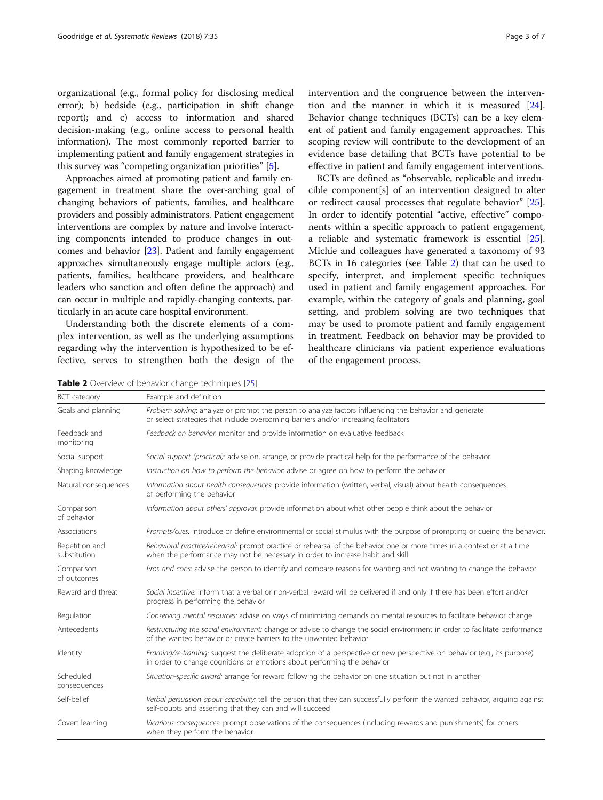organizational (e.g., formal policy for disclosing medical error); b) bedside (e.g., participation in shift change report); and c) access to information and shared decision-making (e.g., online access to personal health information). The most commonly reported barrier to implementing patient and family engagement strategies in this survey was "competing organization priorities" [[5\]](#page-5-0).

Approaches aimed at promoting patient and family engagement in treatment share the over-arching goal of changing behaviors of patients, families, and healthcare providers and possibly administrators. Patient engagement interventions are complex by nature and involve interacting components intended to produce changes in outcomes and behavior [\[23\]](#page-6-0). Patient and family engagement approaches simultaneously engage multiple actors (e.g., patients, families, healthcare providers, and healthcare leaders who sanction and often define the approach) and can occur in multiple and rapidly-changing contexts, particularly in an acute care hospital environment.

Understanding both the discrete elements of a complex intervention, as well as the underlying assumptions regarding why the intervention is hypothesized to be effective, serves to strengthen both the design of the intervention and the congruence between the intervention and the manner in which it is measured [\[24](#page-6-0)]. Behavior change techniques (BCTs) can be a key element of patient and family engagement approaches. This scoping review will contribute to the development of an evidence base detailing that BCTs have potential to be effective in patient and family engagement interventions.

BCTs are defined as "observable, replicable and irreducible component[s] of an intervention designed to alter or redirect causal processes that regulate behavior" [\[25](#page-6-0)]. In order to identify potential "active, effective" components within a specific approach to patient engagement, a reliable and systematic framework is essential [\[25](#page-6-0)]. Michie and colleagues have generated a taxonomy of 93 BCTs in 16 categories (see Table 2) that can be used to specify, interpret, and implement specific techniques used in patient and family engagement approaches. For example, within the category of goals and planning, goal setting, and problem solving are two techniques that may be used to promote patient and family engagement in treatment. Feedback on behavior may be provided to healthcare clinicians via patient experience evaluations of the engagement process.

Table 2 Overview of behavior change techniques [\[25\]](#page-6-0)

| <b>BCT</b> category            | Example and definition                                                                                                                                                                                    |  |  |  |
|--------------------------------|-----------------------------------------------------------------------------------------------------------------------------------------------------------------------------------------------------------|--|--|--|
| Goals and planning             | Problem solving: analyze or prompt the person to analyze factors influencing the behavior and generate<br>or select strategies that include overcoming barriers and/or increasing facilitators            |  |  |  |
| Feedback and<br>monitoring     | Feedback on behavior: monitor and provide information on evaluative feedback                                                                                                                              |  |  |  |
| Social support                 | Social support (practical): advise on, arrange, or provide practical help for the performance of the behavior                                                                                             |  |  |  |
| Shaping knowledge              | Instruction on how to perform the behavior: advise or agree on how to perform the behavior                                                                                                                |  |  |  |
| Natural consequences           | Information about health consequences: provide information (written, verbal, visual) about health consequences<br>of performing the behavior                                                              |  |  |  |
| Comparison<br>of behavior      | Information about others' approval: provide information about what other people think about the behavior                                                                                                  |  |  |  |
| Associations                   | Prompts/cues: introduce or define environmental or social stimulus with the purpose of prompting or cueing the behavior.                                                                                  |  |  |  |
| Repetition and<br>substitution | Behavioral practice/rehearsal: prompt practice or rehearsal of the behavior one or more times in a context or at a time<br>when the performance may not be necessary in order to increase habit and skill |  |  |  |
| Comparison<br>of outcomes      | Pros and cons: advise the person to identify and compare reasons for wanting and not wanting to change the behavior                                                                                       |  |  |  |
| Reward and threat              | Social incentive: inform that a verbal or non-verbal reward will be delivered if and only if there has been effort and/or<br>progress in performing the behavior                                          |  |  |  |
| Regulation                     | Conserving mental resources: advise on ways of minimizing demands on mental resources to facilitate behavior change                                                                                       |  |  |  |
| Antecedents                    | Restructuring the social environment: change or advise to change the social environment in order to facilitate performance<br>of the wanted behavior or create barriers to the unwanted behavior          |  |  |  |
| Identity                       | Framing/re-framing: suggest the deliberate adoption of a perspective or new perspective on behavior (e.g., its purpose)<br>in order to change cognitions or emotions about performing the behavior        |  |  |  |
| Scheduled<br>consequences      | Situation-specific award: arrange for reward following the behavior on one situation but not in another                                                                                                   |  |  |  |
| Self-belief                    | Verbal persuasion about capability: tell the person that they can successfully perform the wanted behavior, arquing against<br>self-doubts and asserting that they can and will succeed                   |  |  |  |
| Covert learning                | Vicarious consequences: prompt observations of the consequences (including rewards and punishments) for others<br>when they perform the behavior                                                          |  |  |  |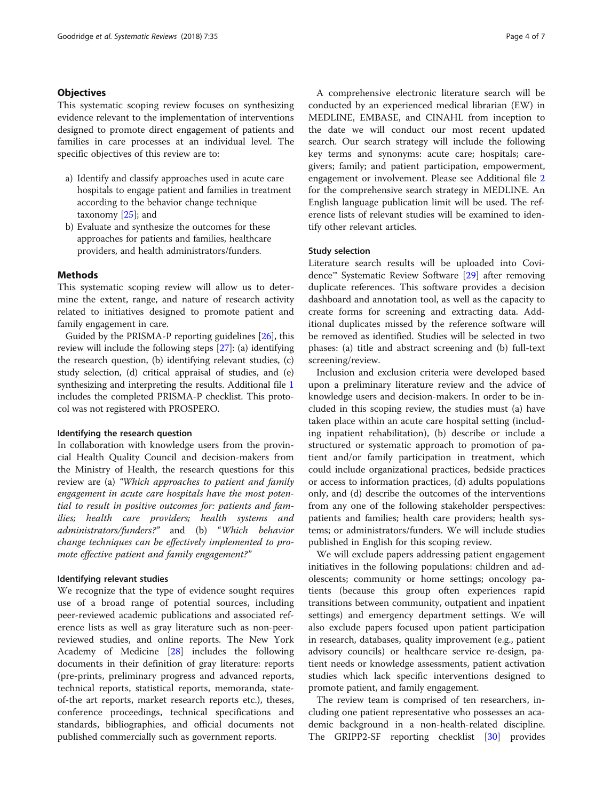## **Objectives**

This systematic scoping review focuses on synthesizing evidence relevant to the implementation of interventions designed to promote direct engagement of patients and families in care processes at an individual level. The specific objectives of this review are to:

- a) Identify and classify approaches used in acute care hospitals to engage patient and families in treatment according to the behavior change technique taxonomy [\[25](#page-6-0)]; and
- b) Evaluate and synthesize the outcomes for these approaches for patients and families, healthcare providers, and health administrators/funders.

## Methods

This systematic scoping review will allow us to determine the extent, range, and nature of research activity related to initiatives designed to promote patient and family engagement in care.

Guided by the PRISMA-P reporting guidelines [\[26\]](#page-6-0), this review will include the following steps [[27](#page-6-0)]: (a) identifying the research question, (b) identifying relevant studies, (c) study selection, (d) critical appraisal of studies, and (e) synthesizing and interpreting the results. Additional file [1](#page-5-0) includes the completed PRISMA-P checklist. This protocol was not registered with PROSPERO.

## Identifying the research question

In collaboration with knowledge users from the provincial Health Quality Council and decision-makers from the Ministry of Health, the research questions for this review are (a) "Which approaches to patient and family engagement in acute care hospitals have the most potential to result in positive outcomes for: patients and families; health care providers; health systems and administrators/funders?" and (b) "Which behavior change techniques can be effectively implemented to promote effective patient and family engagement?"

## Identifying relevant studies

We recognize that the type of evidence sought requires use of a broad range of potential sources, including peer-reviewed academic publications and associated reference lists as well as gray literature such as non-peerreviewed studies, and online reports. The New York Academy of Medicine [\[28](#page-6-0)] includes the following documents in their definition of gray literature: reports (pre-prints, preliminary progress and advanced reports, technical reports, statistical reports, memoranda, stateof-the art reports, market research reports etc.), theses, conference proceedings, technical specifications and standards, bibliographies, and official documents not published commercially such as government reports.

A comprehensive electronic literature search will be conducted by an experienced medical librarian (EW) in MEDLINE, EMBASE, and CINAHL from inception to the date we will conduct our most recent updated search. Our search strategy will include the following key terms and synonyms: acute care; hospitals; caregivers; family; and patient participation, empowerment, engagement or involvement. Please see Additional file [2](#page-5-0) for the comprehensive search strategy in MEDLINE. An English language publication limit will be used. The reference lists of relevant studies will be examined to identify other relevant articles.

## Study selection

Literature search results will be uploaded into Covidence™ Systematic Review Software [\[29](#page-6-0)] after removing duplicate references. This software provides a decision dashboard and annotation tool, as well as the capacity to create forms for screening and extracting data. Additional duplicates missed by the reference software will be removed as identified. Studies will be selected in two phases: (a) title and abstract screening and (b) full-text screening/review.

Inclusion and exclusion criteria were developed based upon a preliminary literature review and the advice of knowledge users and decision-makers. In order to be included in this scoping review, the studies must (a) have taken place within an acute care hospital setting (including inpatient rehabilitation), (b) describe or include a structured or systematic approach to promotion of patient and/or family participation in treatment, which could include organizational practices, bedside practices or access to information practices, (d) adults populations only, and (d) describe the outcomes of the interventions from any one of the following stakeholder perspectives: patients and families; health care providers; health systems; or administrators/funders. We will include studies published in English for this scoping review.

We will exclude papers addressing patient engagement initiatives in the following populations: children and adolescents; community or home settings; oncology patients (because this group often experiences rapid transitions between community, outpatient and inpatient settings) and emergency department settings. We will also exclude papers focused upon patient participation in research, databases, quality improvement (e.g., patient advisory councils) or healthcare service re-design, patient needs or knowledge assessments, patient activation studies which lack specific interventions designed to promote patient, and family engagement.

The review team is comprised of ten researchers, including one patient representative who possesses an academic background in a non-health-related discipline. The GRIPP2-SF reporting checklist [[30](#page-6-0)] provides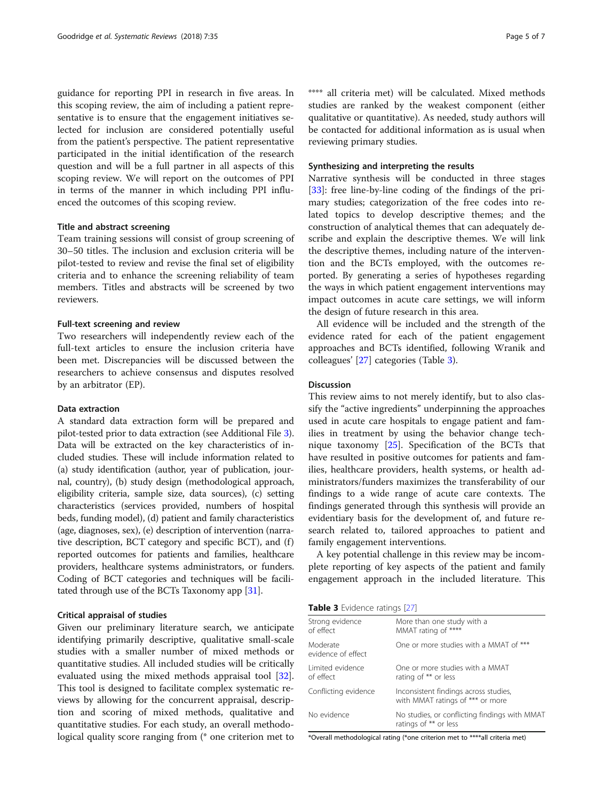guidance for reporting PPI in research in five areas. In this scoping review, the aim of including a patient representative is to ensure that the engagement initiatives selected for inclusion are considered potentially useful from the patient's perspective. The patient representative participated in the initial identification of the research question and will be a full partner in all aspects of this scoping review. We will report on the outcomes of PPI in terms of the manner in which including PPI influenced the outcomes of this scoping review.

## Title and abstract screening

Team training sessions will consist of group screening of 30–50 titles. The inclusion and exclusion criteria will be pilot-tested to review and revise the final set of eligibility criteria and to enhance the screening reliability of team members. Titles and abstracts will be screened by two reviewers.

## Full-text screening and review

Two researchers will independently review each of the full-text articles to ensure the inclusion criteria have been met. Discrepancies will be discussed between the researchers to achieve consensus and disputes resolved by an arbitrator (EP).

## Data extraction

A standard data extraction form will be prepared and pilot-tested prior to data extraction (see Additional File [3](#page-5-0)). Data will be extracted on the key characteristics of included studies. These will include information related to (a) study identification (author, year of publication, journal, country), (b) study design (methodological approach, eligibility criteria, sample size, data sources), (c) setting characteristics (services provided, numbers of hospital beds, funding model), (d) patient and family characteristics (age, diagnoses, sex), (e) description of intervention (narrative description, BCT category and specific BCT), and (f) reported outcomes for patients and families, healthcare providers, healthcare systems administrators, or funders. Coding of BCT categories and techniques will be facilitated through use of the BCTs Taxonomy app [[31](#page-6-0)].

#### Critical appraisal of studies

Given our preliminary literature search, we anticipate identifying primarily descriptive, qualitative small-scale studies with a smaller number of mixed methods or quantitative studies. All included studies will be critically evaluated using the mixed methods appraisal tool [\[32](#page-6-0)]. This tool is designed to facilitate complex systematic reviews by allowing for the concurrent appraisal, description and scoring of mixed methods, qualitative and quantitative studies. For each study, an overall methodological quality score ranging from (\* one criterion met to \*\*\*\* all criteria met) will be calculated. Mixed methods studies are ranked by the weakest component (either qualitative or quantitative). As needed, study authors will be contacted for additional information as is usual when reviewing primary studies.

## Synthesizing and interpreting the results

Narrative synthesis will be conducted in three stages [[33\]](#page-6-0): free line-by-line coding of the findings of the primary studies; categorization of the free codes into related topics to develop descriptive themes; and the construction of analytical themes that can adequately describe and explain the descriptive themes. We will link the descriptive themes, including nature of the intervention and the BCTs employed, with the outcomes reported. By generating a series of hypotheses regarding the ways in which patient engagement interventions may impact outcomes in acute care settings, we will inform the design of future research in this area.

All evidence will be included and the strength of the evidence rated for each of the patient engagement approaches and BCTs identified, following Wranik and colleagues' [\[27](#page-6-0)] categories (Table 3).

## Discussion

This review aims to not merely identify, but to also classify the "active ingredients" underpinning the approaches used in acute care hospitals to engage patient and families in treatment by using the behavior change technique taxonomy [\[25\]](#page-6-0). Specification of the BCTs that have resulted in positive outcomes for patients and families, healthcare providers, health systems, or health administrators/funders maximizes the transferability of our findings to a wide range of acute care contexts. The findings generated through this synthesis will provide an evidentiary basis for the development of, and future research related to, tailored approaches to patient and family engagement interventions.

A key potential challenge in this review may be incomplete reporting of key aspects of the patient and family engagement approach in the included literature. This

|  |  | Table 3 Evidence ratings [27] |  |  |
|--|--|-------------------------------|--|--|
|--|--|-------------------------------|--|--|

| Strong evidence<br>of effect   | More than one study with a<br>MMAT rating of ****                         |  |
|--------------------------------|---------------------------------------------------------------------------|--|
| Moderate<br>evidence of effect | One or more studies with a MMAT of ***                                    |  |
| Limited evidence<br>of effect  | One or more studies with a MMAT<br>rating of ** or less                   |  |
| Conflicting evidence           | Inconsistent findings across studies,<br>with MMAT ratings of *** or more |  |
| No evidence                    | No studies, or conflicting findings with MMAT<br>ratings of ** or less    |  |

\*Overall methodological rating (\*one criterion met to \*\*\*\*all criteria met)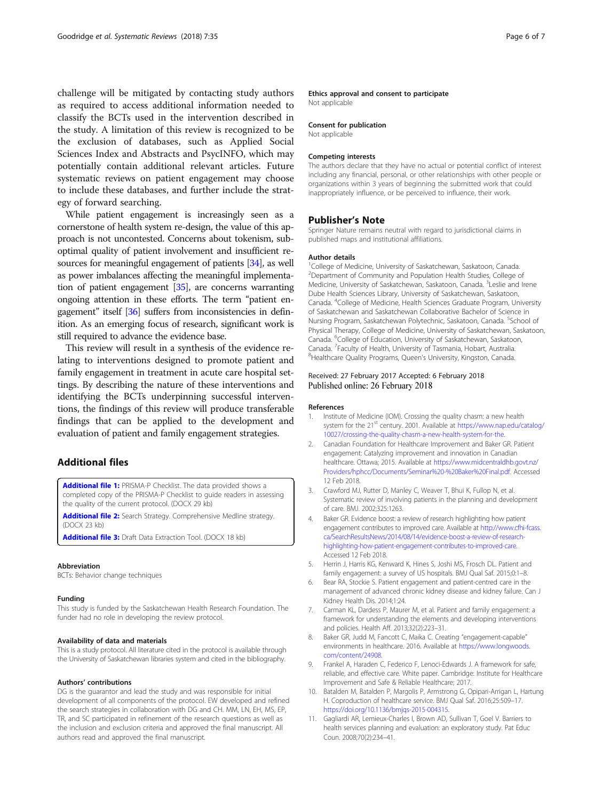<span id="page-5-0"></span>challenge will be mitigated by contacting study authors as required to access additional information needed to classify the BCTs used in the intervention described in the study. A limitation of this review is recognized to be the exclusion of databases, such as Applied Social Sciences Index and Abstracts and PsycINFO, which may potentially contain additional relevant articles. Future systematic reviews on patient engagement may choose to include these databases, and further include the strategy of forward searching.

While patient engagement is increasingly seen as a cornerstone of health system re-design, the value of this approach is not uncontested. Concerns about tokenism, suboptimal quality of patient involvement and insufficient resources for meaningful engagement of patients [[34](#page-6-0)], as well as power imbalances affecting the meaningful implementation of patient engagement [\[35](#page-6-0)], are concerns warranting ongoing attention in these efforts. The term "patient engagement" itself [\[36\]](#page-6-0) suffers from inconsistencies in definition. As an emerging focus of research, significant work is still required to advance the evidence base.

This review will result in a synthesis of the evidence relating to interventions designed to promote patient and family engagement in treatment in acute care hospital settings. By describing the nature of these interventions and identifying the BCTs underpinning successful interventions, the findings of this review will produce transferable findings that can be applied to the development and evaluation of patient and family engagement strategies.

## Additional files

[Additional file 1:](https://doi.org/10.1186/s13643-018-0694-9) PRISMA-P Checklist. The data provided shows a completed copy of the PRISMA-P Checklist to guide readers in assessing the quality of the current protocol. (DOCX 29 kb)

[Additional file 2:](https://doi.org/10.1186/s13643-018-0694-9) Search Strategy. Comprehensive Medline strategy. (DOCX 23 kb)

[Additional file 3:](https://doi.org/10.1186/s13643-018-0694-9) Draft Data Extraction Tool. (DOCX 18 kb)

#### Abbreviation

BCTs: Behavior change techniques

## Funding

This study is funded by the Saskatchewan Health Research Foundation. The funder had no role in developing the review protocol.

#### Availability of data and materials

This is a study protocol. All literature cited in the protocol is available through the University of Saskatchewan libraries system and cited in the bibliography.

## Authors' contributions

DG is the guarantor and lead the study and was responsible for initial development of all components of the protocol. EW developed and refined the search strategies in collaboration with DG and CH. MM, LN, EH, MS, EP, TR, and SC participated in refinement of the research questions as well as the inclusion and exclusion criteria and approved the final manuscript. All authors read and approved the final manuscript.

#### Ethics approval and consent to participate

Not applicable

#### Consent for publication

Not applicable

#### Competing interests

The authors declare that they have no actual or potential conflict of interest including any financial, personal, or other relationships with other people or organizations within 3 years of beginning the submitted work that could inappropriately influence, or be perceived to influence, their work.

### Publisher's Note

Springer Nature remains neutral with regard to jurisdictional claims in published maps and institutional affiliations.

#### Author details

<sup>1</sup>College of Medicine, University of Saskatchewan, Saskatoon, Canada. 2 Department of Community and Population Health Studies, College of Medicine, University of Saskatchewan, Saskatoon, Canada. <sup>3</sup>Leslie and Irene Dube Health Sciences Library, University of Saskatchewan, Saskatoon, Canada. <sup>4</sup> College of Medicine, Health Sciences Graduate Program, University of Saskatchewan and Saskatchewan Collaborative Bachelor of Science in Nursing Program, Saskatchewan Polytechnic, Saskatoon, Canada. <sup>5</sup>School of Physical Therapy, College of Medicine, University of Saskatchewan, Saskatoon, Canada. <sup>6</sup>College of Education, University of Saskatchewan, Saskatoon, Canada. <sup>7</sup> Faculty of Health, University of Tasmania, Hobart, Australia. <sup>8</sup> <sup>8</sup>Healthcare Quality Programs, Queen's University, Kingston, Canada.

## Received: 27 February 2017 Accepted: 6 February 2018 Published online: 26 February 2018

#### References

- 1. Institute of Medicine (IOM). Crossing the quality chasm: a new health system for the 21<sup>st</sup> century. 2001. Available at [https://www.nap.edu/catalog/](https://www.nap.edu/catalog/10027/crossing-the-quality-chasm-a-new-health-system-for-the) [10027/crossing-the-quality-chasm-a-new-health-system-for-the](https://www.nap.edu/catalog/10027/crossing-the-quality-chasm-a-new-health-system-for-the).
- 2. Canadian Foundation for Healthcare Improvement and Baker GR. Patient engagement: Catalyzing improvement and innovation in Canadian healthcare. Ottawa; 2015. Available at [https://www.midcentraldhb.govt.nz/](https://www.midcentraldhb.govt.nz/Providers/hphcc/Documents/Seminar%20-%20Baker%20Final.pdf) [Providers/hphcc/Documents/Seminar%20-%20Baker%20Final.pdf](https://www.midcentraldhb.govt.nz/Providers/hphcc/Documents/Seminar%20-%20Baker%20Final.pdf). Accessed 12 Feb 2018.
- 3. Crawford MJ, Rutter D, Manley C, Weaver T, Bhui K, Fullop N, et al. Systematic review of involving patients in the planning and development of care. BMJ. 2002;325:1263.
- 4. Baker GR. Evidence boost: a review of research highlighting how patient engagement contributes to improved care. Available at [http://www.cfhi-fcass.](http://www.cfhi-fcass.ca/SearchResultsNews/2014/08/14/evidence-boost-a-review-of-research-highlighting-how-patient-engagement-contributes-to-improved-care) [ca/SearchResultsNews/2014/08/14/evidence-boost-a-review-of-research](http://www.cfhi-fcass.ca/SearchResultsNews/2014/08/14/evidence-boost-a-review-of-research-highlighting-how-patient-engagement-contributes-to-improved-care)[highlighting-how-patient-engagement-contributes-to-improved-care.](http://www.cfhi-fcass.ca/SearchResultsNews/2014/08/14/evidence-boost-a-review-of-research-highlighting-how-patient-engagement-contributes-to-improved-care) Accessed 12 Feb 2018.
- 5. Herrin J, Harris KG, Kenward K, Hines S, Joshi MS, Frosch DL. Patient and family engagement: a survey of US hospitals. BMJ Qual Saf. 2015;0:1–8.
- 6. Bear RA, Stockie S. Patient engagement and patient-centred care in the management of advanced chronic kidney disease and kidney failure. Can J Kidney Health Dis. 2014;1:24.
- 7. Carman KL, Dardess P, Maurer M, et al. Patient and family engagement: a framework for understanding the elements and developing interventions and policies. Health Aff. 2013;32(2):223–31.
- 8. Baker GR, Judd M, Fancott C, Maika C. Creating "engagement-capable" environments in healthcare. 2016. Available at [https://www.longwoods.](https://www.longwoods.com/content/24908) [com/content/24908.](https://www.longwoods.com/content/24908)
- 9. Frankel A, Haraden C, Federico F, Lenoci-Edwards J. A framework for safe, reliable, and effective care. White paper. Cambridge: Institute for Healthcare Improvement and Safe & Reliable Healthcare; 2017.
- 10. Batalden M, Batalden P, Margolis P, Armstrong G, Opipari-Arrigan L, Hartung H. Coproduction of healthcare service. BMJ Qual Saf. 2016;25:509–17. [https://doi.org/10.1136/bmjqs-2015-004315.](https://doi.org/10.1136/bmjqs-2015-004315)
- 11. Gagliardi AR, Lemieux-Charles I, Brown AD, Sullivan T, Goel V. Barriers to health services planning and evaluation: an exploratory study. Pat Educ Coun. 2008;70(2):234–41.